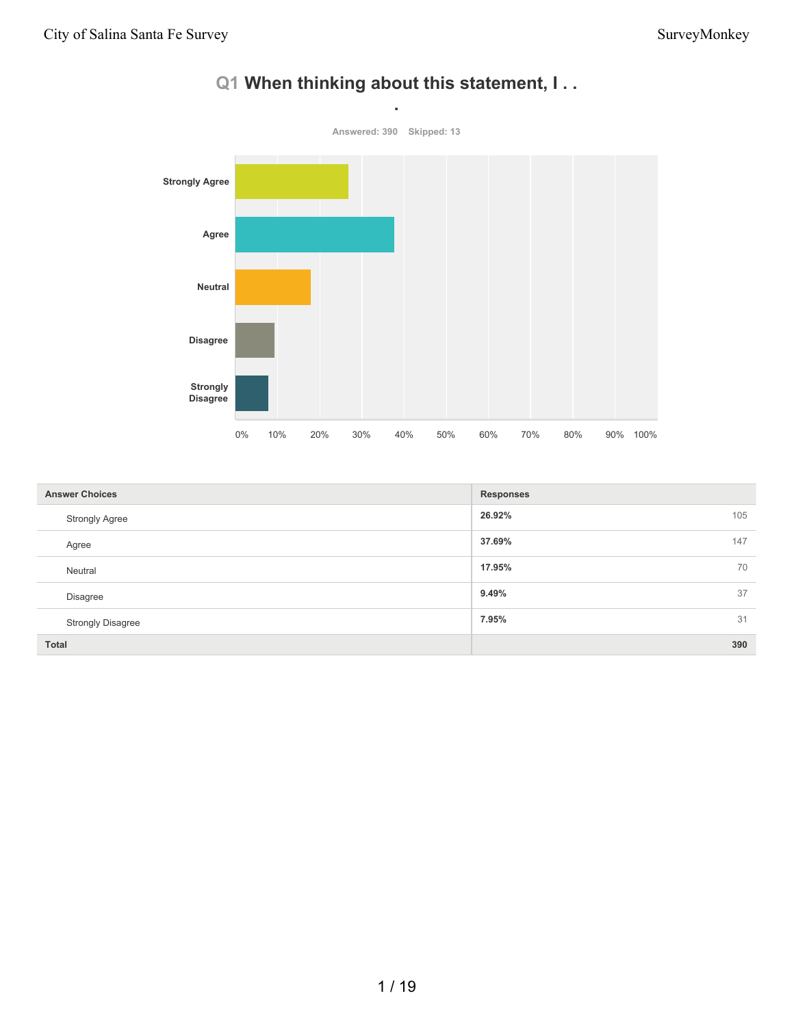

# **Q1 When thinking about this statement, I . .**

| <b>Answer Choices</b>    | <b>Responses</b> |
|--------------------------|------------------|
| <b>Strongly Agree</b>    | 26.92%<br>105    |
| Agree                    | 37.69%<br>147    |
| Neutral                  | 70<br>17.95%     |
| <b>Disagree</b>          | 37<br>9.49%      |
| <b>Strongly Disagree</b> | 31<br>7.95%      |
| <b>Total</b>             | 390              |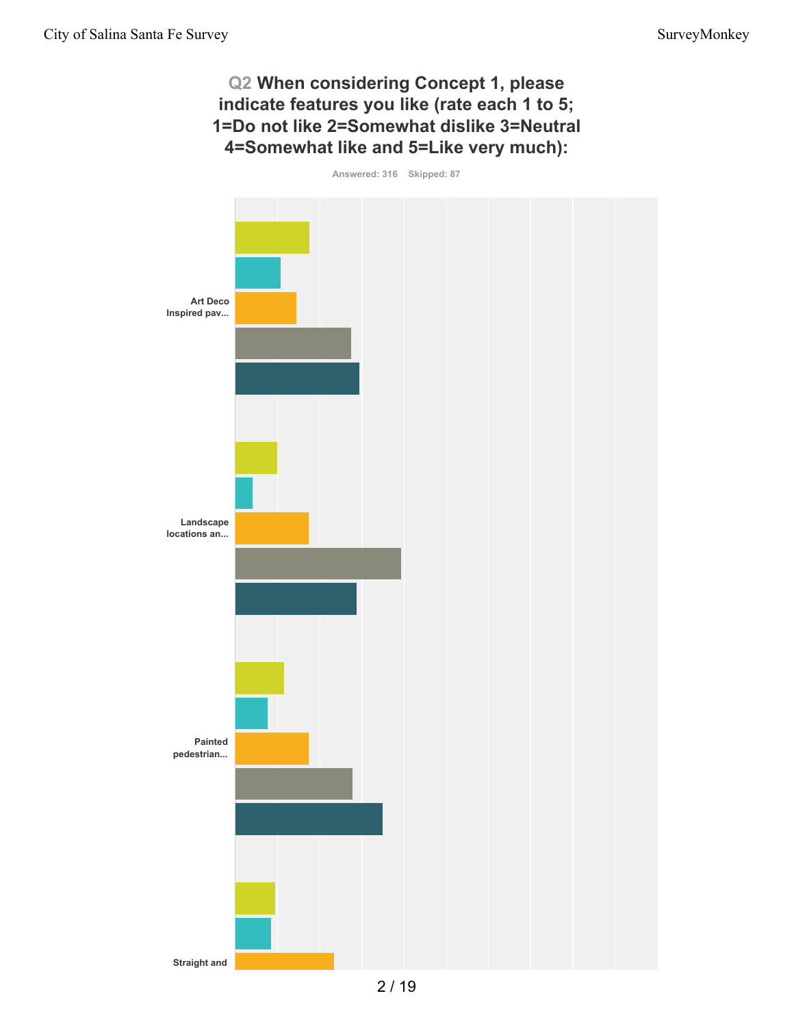# **Q2 When considering Concept 1, please indicate features you like (rate each 1 to 5; 1=Do not like 2=Somewhat dislike 3=Neutral 4=Somewhat like and 5=Like very much):**

**Answered: 316 Skipped: 87**

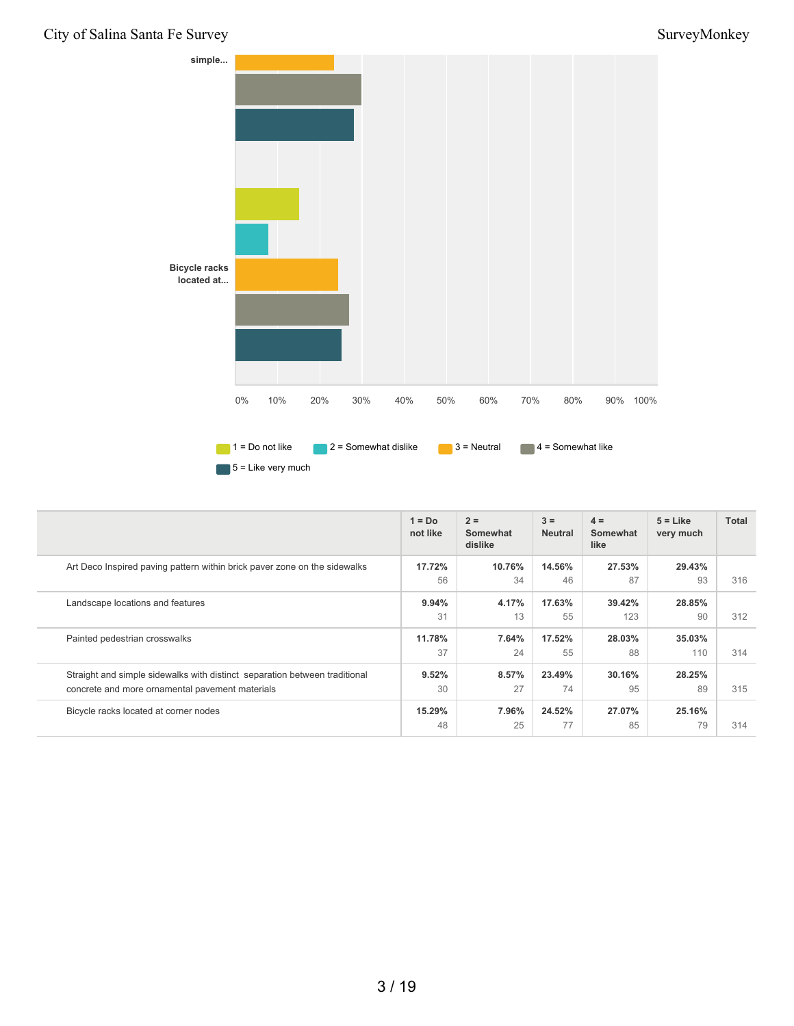

|                                                                            | $1 = Do$<br>not like | $2 =$<br>Somewhat<br>dislike | $3 =$<br><b>Neutral</b> | $4 =$<br>Somewhat<br>like | $5 =$ Like<br>very much | Total |
|----------------------------------------------------------------------------|----------------------|------------------------------|-------------------------|---------------------------|-------------------------|-------|
| Art Deco Inspired paving pattern within brick paver zone on the sidewalks  | 17.72%               | 10.76%                       | 14.56%                  | 27.53%                    | 29.43%                  |       |
|                                                                            | 56                   | 34                           | 46                      | 87                        | 93                      | 316   |
| Landscape locations and features                                           | 9.94%                | 4.17%                        | 17.63%                  | 39.42%                    | 28.85%                  |       |
|                                                                            | 31                   | 13                           | 55                      | 123                       | 90                      | 312   |
| Painted pedestrian crosswalks                                              | 11.78%               | 7.64%                        | 17.52%                  | 28.03%                    | 35.03%                  |       |
|                                                                            | 37                   | 24                           | 55                      | 88                        | 110                     | 314   |
| Straight and simple sidewalks with distinct separation between traditional | 9.52%                | $8.57\%$                     | 23.49%                  | 30.16%                    | 28.25%                  |       |
| concrete and more ornamental pavement materials                            | 30                   | 27                           | 74                      | 95                        | 89                      | 315   |
| Bicycle racks located at corner nodes                                      | 15.29%               | 7.96%                        | 24.52%                  | 27.07%                    | 25.16%                  |       |
|                                                                            | 48                   | 25                           | 77                      | 85                        | 79                      | 314   |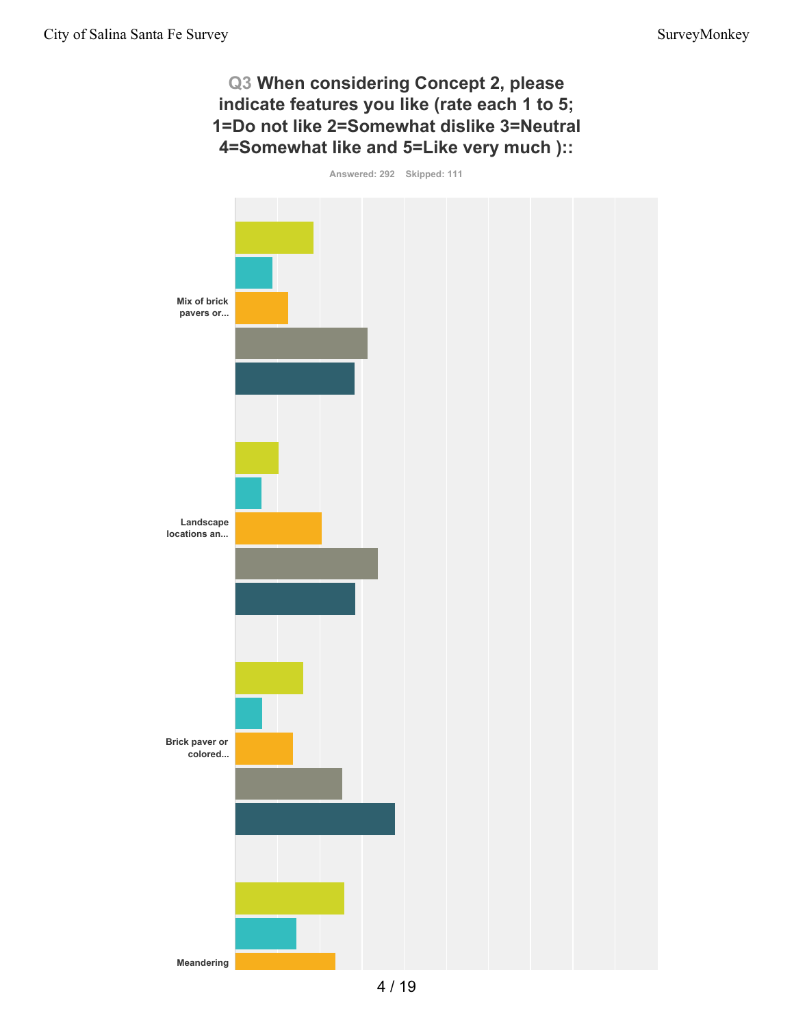# **Q3 When considering Concept 2, please indicate features you like (rate each 1 to 5; 1=Do not like 2=Somewhat dislike 3=Neutral 4=Somewhat like and 5=Like very much )::**

**Answered: 292 Skipped: 111**

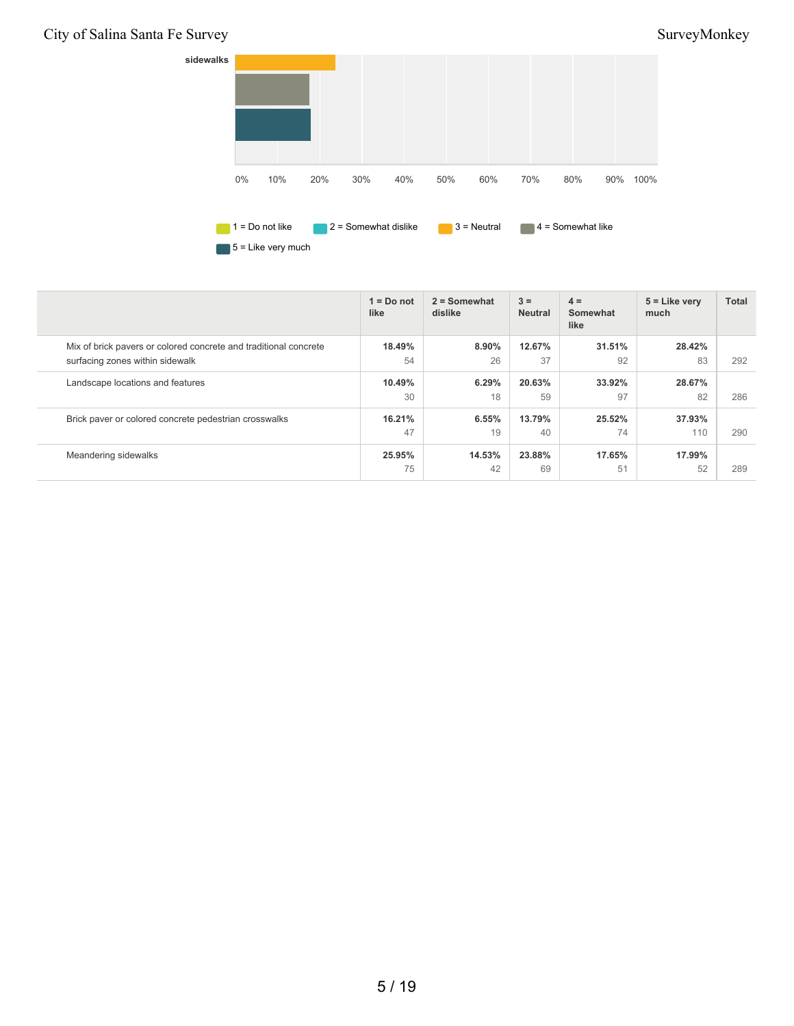

|                                                                                                     | $1 = Do$ not<br>like | $2 =$ Somewhat<br>dislike | $3 =$<br><b>Neutral</b> | $4 =$<br>Somewhat<br>like | $5 =$ Like very<br>much | <b>Total</b> |
|-----------------------------------------------------------------------------------------------------|----------------------|---------------------------|-------------------------|---------------------------|-------------------------|--------------|
| Mix of brick pavers or colored concrete and traditional concrete<br>surfacing zones within sidewalk | 18.49%<br>54         | 8.90%<br>26               | 12.67%<br>37            | 31.51%<br>92              | 28.42%<br>83            | 292          |
| Landscape locations and features                                                                    | 10.49%<br>30         | 6.29%<br>18               | 20.63%<br>59            | 33.92%<br>97              | 28.67%<br>82            | 286          |
| Brick paver or colored concrete pedestrian crosswalks                                               | 16.21%<br>47         | 6.55%<br>19               | 13.79%<br>40            | 25.52%<br>74              | 37.93%<br>110           | 290          |
| Meandering sidewalks                                                                                | 25.95%<br>75         | 14.53%<br>42              | 23.88%<br>69            | 17.65%<br>51              | 17.99%<br>52            | 289          |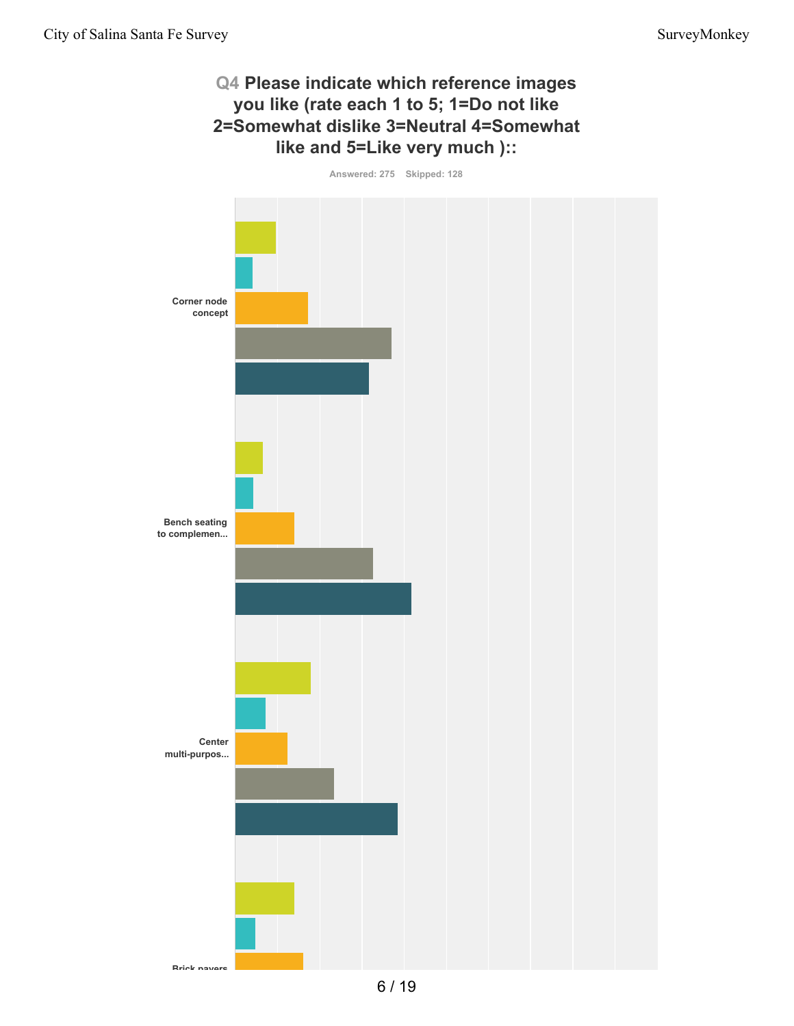# **Q4 Please indicate which reference images you like (rate each 1 to 5; 1=Do not like 2=Somewhat dislike 3=Neutral 4=Somewhat like and 5=Like very much )::**

**Answered: 275 Skipped: 128**

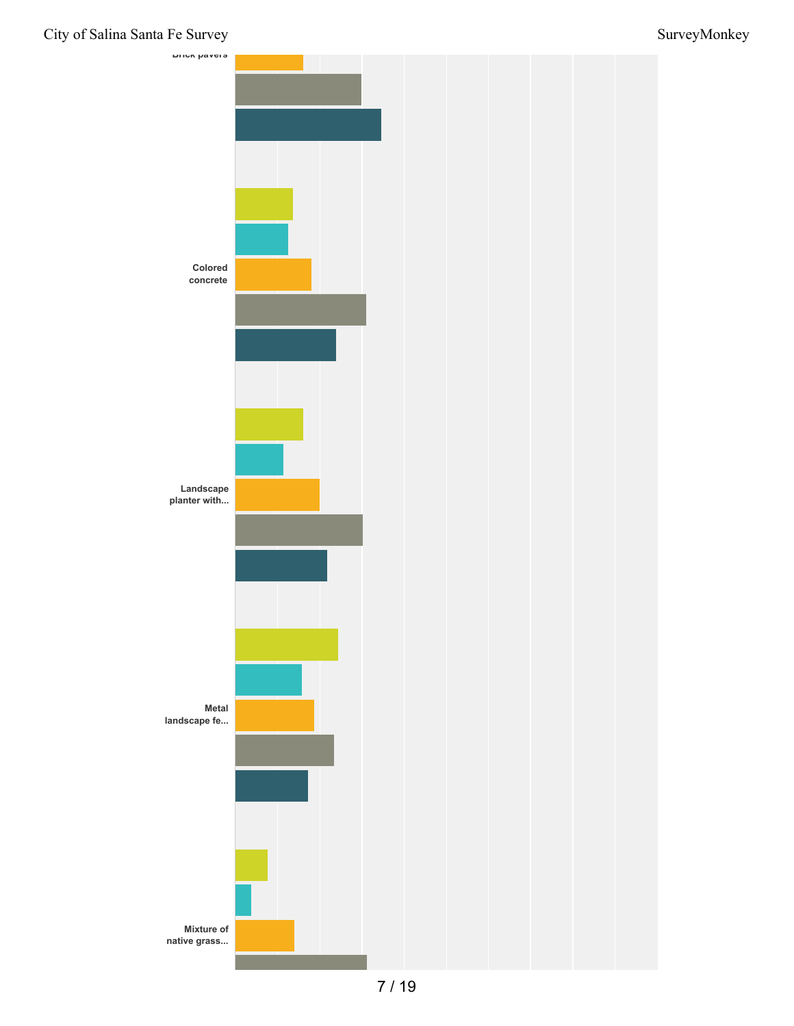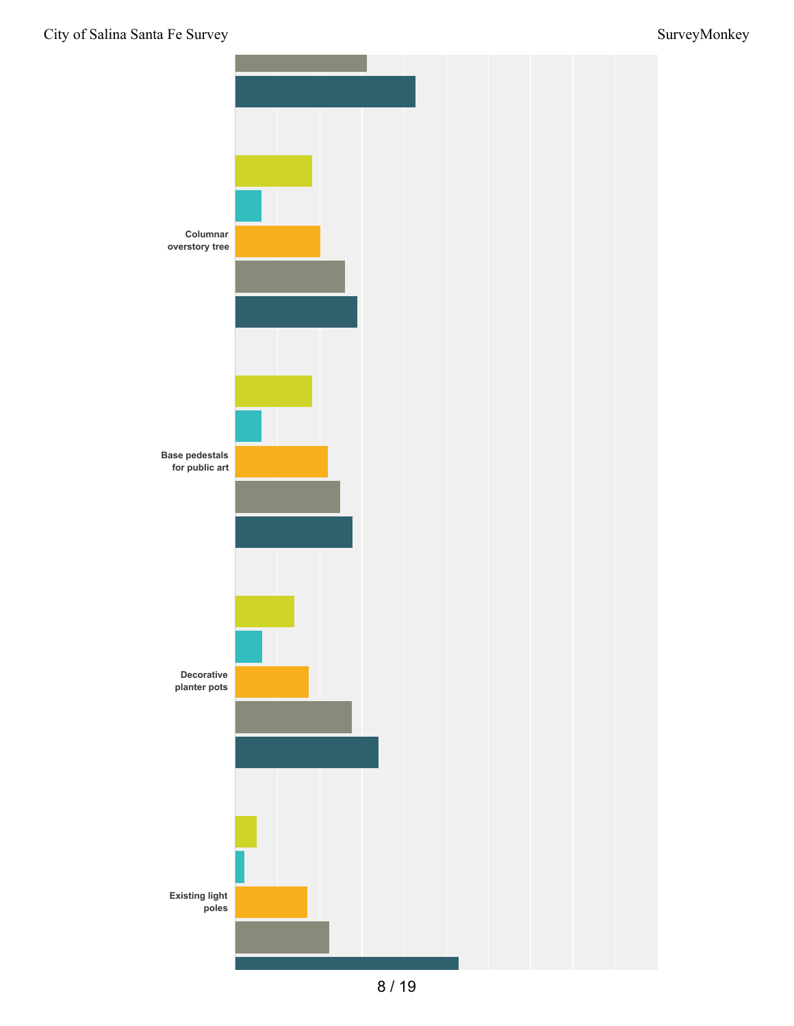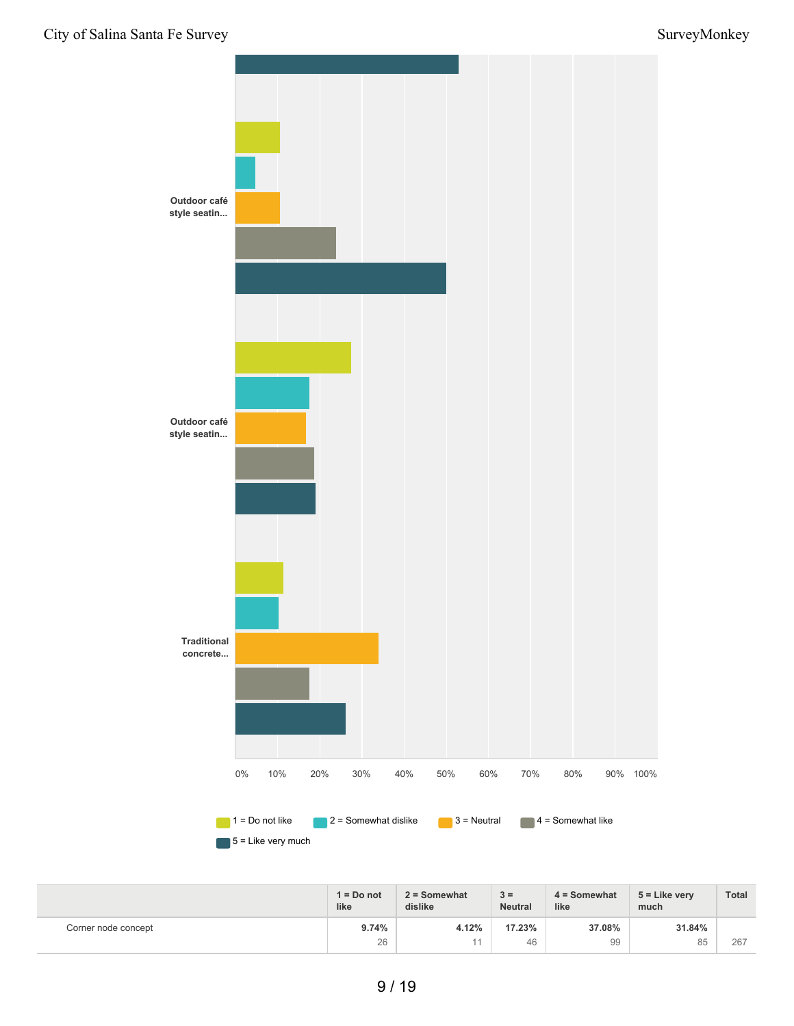

|                     | $1 = Do$ not<br>like | $2 =$ Somewhat<br>dislike | $3 =$<br><b>Neutral</b> | $4 =$ Somewhat<br>like | $5 =$ Like verv<br>much | <b>Total</b> |
|---------------------|----------------------|---------------------------|-------------------------|------------------------|-------------------------|--------------|
| Corner node concept | 9.74%                | 4.12%                     | 17.23%                  | 37.08%                 | 31.84%                  |              |
|                     | 26                   |                           | 46                      | 99                     | 85                      | 267          |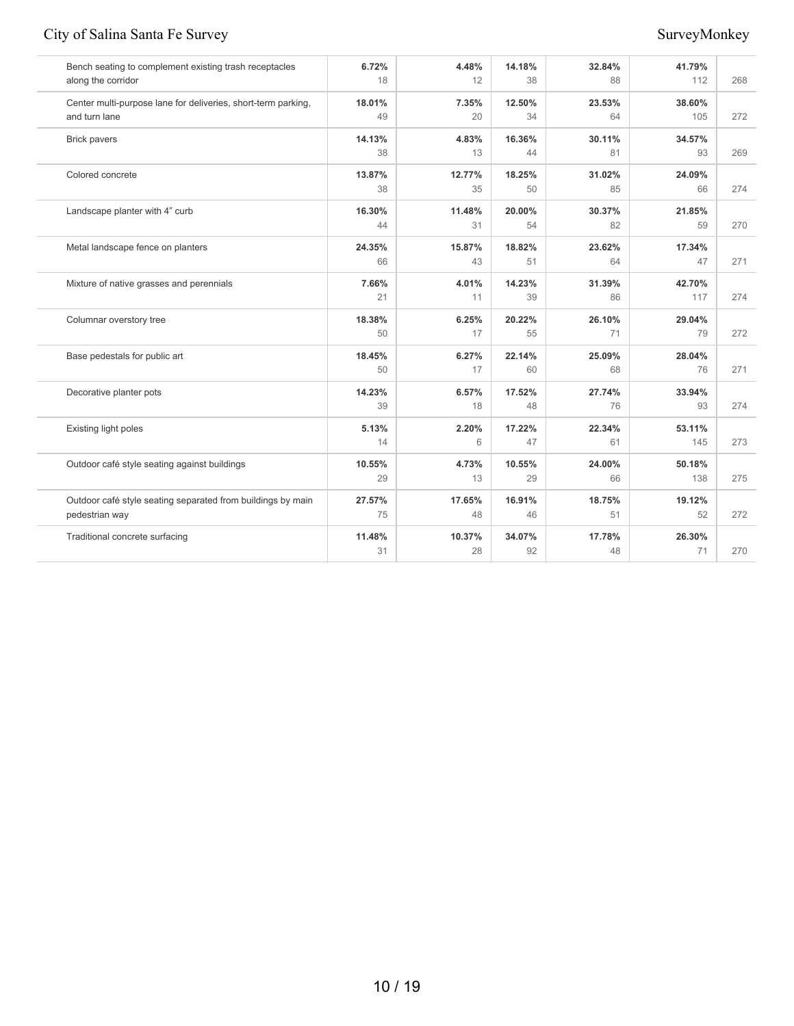| Bench seating to complement existing trash receptacles        | 6.72%  | 4.48%  | 14.18% | 32.84% | 41.79% |     |
|---------------------------------------------------------------|--------|--------|--------|--------|--------|-----|
| along the corridor                                            | 18     | 12     | 38     | 88     | 112    | 268 |
| Center multi-purpose lane for deliveries, short-term parking, | 18.01% | 7.35%  | 12.50% | 23.53% | 38.60% |     |
| and turn lane                                                 | 49     | 20     | 34     | 64     | 105    | 272 |
| <b>Brick pavers</b>                                           | 14.13% | 4.83%  | 16.36% | 30.11% | 34.57% |     |
|                                                               | 38     | 13     | 44     | 81     | 93     | 269 |
| Colored concrete                                              | 13.87% | 12.77% | 18.25% | 31.02% | 24.09% |     |
|                                                               | 38     | 35     | 50     | 85     | 66     | 274 |
| Landscape planter with 4" curb                                | 16.30% | 11.48% | 20.00% | 30.37% | 21.85% |     |
|                                                               | 44     | 31     | 54     | 82     | 59     | 270 |
| Metal landscape fence on planters                             | 24.35% | 15.87% | 18.82% | 23.62% | 17.34% |     |
|                                                               | 66     | 43     | 51     | 64     | 47     | 271 |
| Mixture of native grasses and perennials                      | 7.66%  | 4.01%  | 14.23% | 31.39% | 42.70% |     |
|                                                               | 21     | 11     | 39     | 86     | 117    | 274 |
| Columnar overstory tree                                       | 18.38% | 6.25%  | 20.22% | 26.10% | 29.04% |     |
|                                                               | 50     | 17     | 55     | 71     | 79     | 272 |
| Base pedestals for public art                                 | 18.45% | 6.27%  | 22.14% | 25.09% | 28.04% |     |
|                                                               | 50     | 17     | 60     | 68     | 76     | 271 |
| Decorative planter pots                                       | 14.23% | 6.57%  | 17.52% | 27.74% | 33.94% |     |
|                                                               | 39     | 18     | 48     | 76     | 93     | 274 |
| Existing light poles                                          | 5.13%  | 2.20%  | 17.22% | 22.34% | 53.11% |     |
|                                                               | 14     | 6      | 47     | 61     | 145    | 273 |
| Outdoor café style seating against buildings                  | 10.55% | 4.73%  | 10.55% | 24.00% | 50.18% |     |
|                                                               | 29     | 13     | 29     | 66     | 138    | 275 |
| Outdoor café style seating separated from buildings by main   | 27.57% | 17.65% | 16.91% | 18.75% | 19.12% |     |
| pedestrian way                                                | 75     | 48     | 46     | 51     | 52     | 272 |
| Traditional concrete surfacing                                | 11.48% | 10.37% | 34.07% | 17.78% | 26.30% |     |
|                                                               | 31     | 28     | 92     | 48     | 71     | 270 |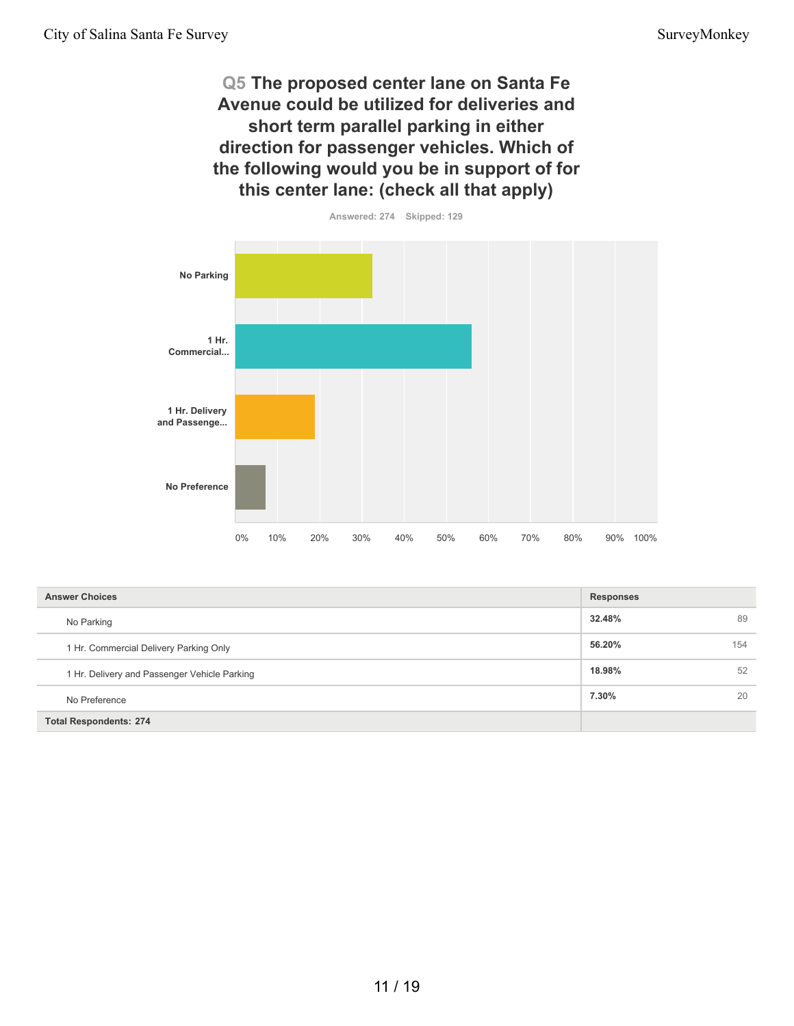**Q5 The proposed center lane on Santa Fe Avenue could be utilized for deliveries and short term parallel parking in either direction for passenger vehicles. Which of the following would you be in support of for this center lane: (check all that apply)**



| <b>Answer Choices</b>                        | <b>Responses</b> |
|----------------------------------------------|------------------|
| No Parking                                   | 32.48%<br>89     |
| 1 Hr. Commercial Delivery Parking Only       | 56.20%<br>154    |
| 1 Hr. Delivery and Passenger Vehicle Parking | 52<br>18.98%     |
| No Preference                                | 7.30%<br>20      |
| <b>Total Respondents: 274</b>                |                  |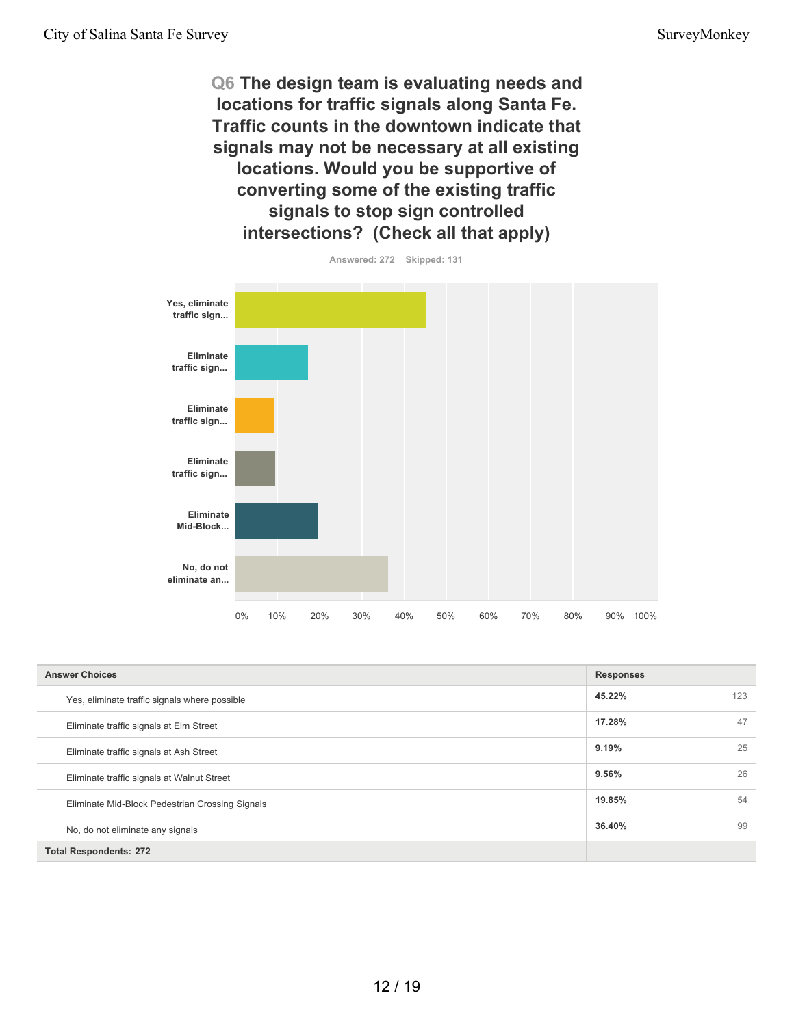**Q6 The design team is evaluating needs and locations for traffic signals along Santa Fe. Traffic counts in the downtown indicate that signals may not be necessary at all existing locations. Would you be supportive of converting some of the existing traffic signals to stop sign controlled intersections? (Check all that apply)**



**45.22%** 123 **17.28%** 47 **9.19%** 25 **9.56%** 26 **19.85%** 54 **36.40%** 99 **Total Respondents: 272 Answer Choices Responses** Yes, eliminate traffic signals where possible Eliminate traffic signals at Elm Street Eliminate traffic signals at Ash Street Eliminate traffic signals at Walnut Street Eliminate Mid-Block Pedestrian Crossing Signals No, do not eliminate any signals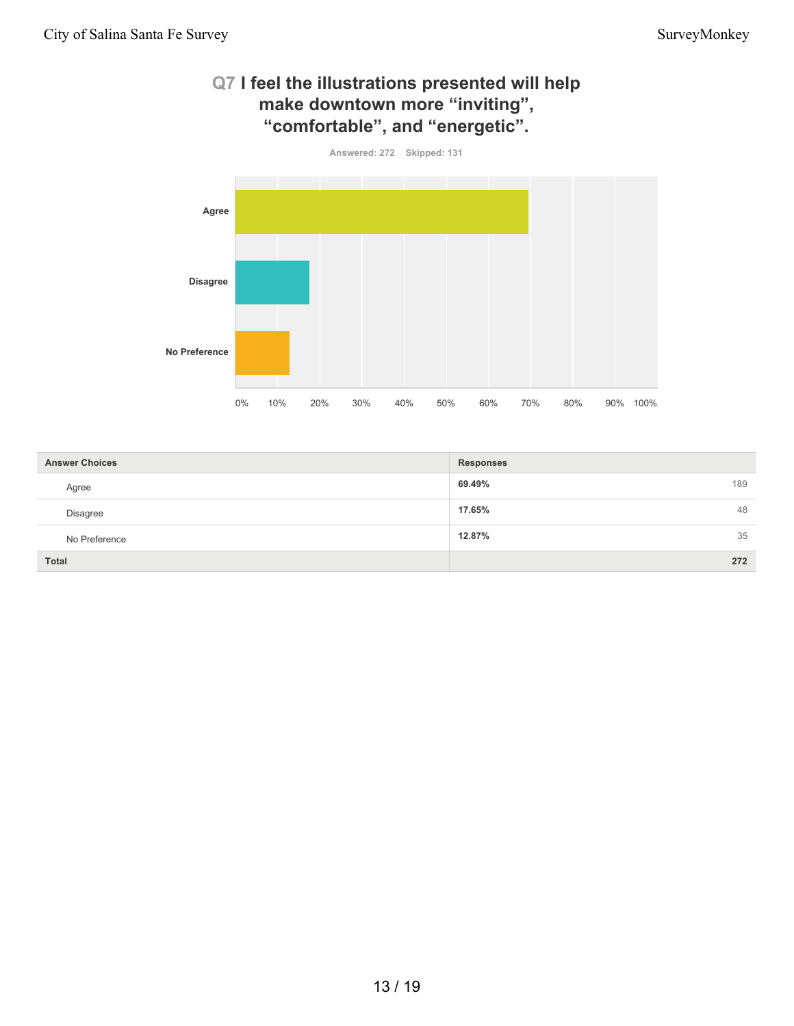

| <b>Answer Choices</b> | <b>Responses</b> |
|-----------------------|------------------|
| Agree                 | 189<br>69.49%    |
| Disagree              | 48<br>17.65%     |
| No Preference         | 35<br>12.87%     |
| <b>Total</b>          | 272              |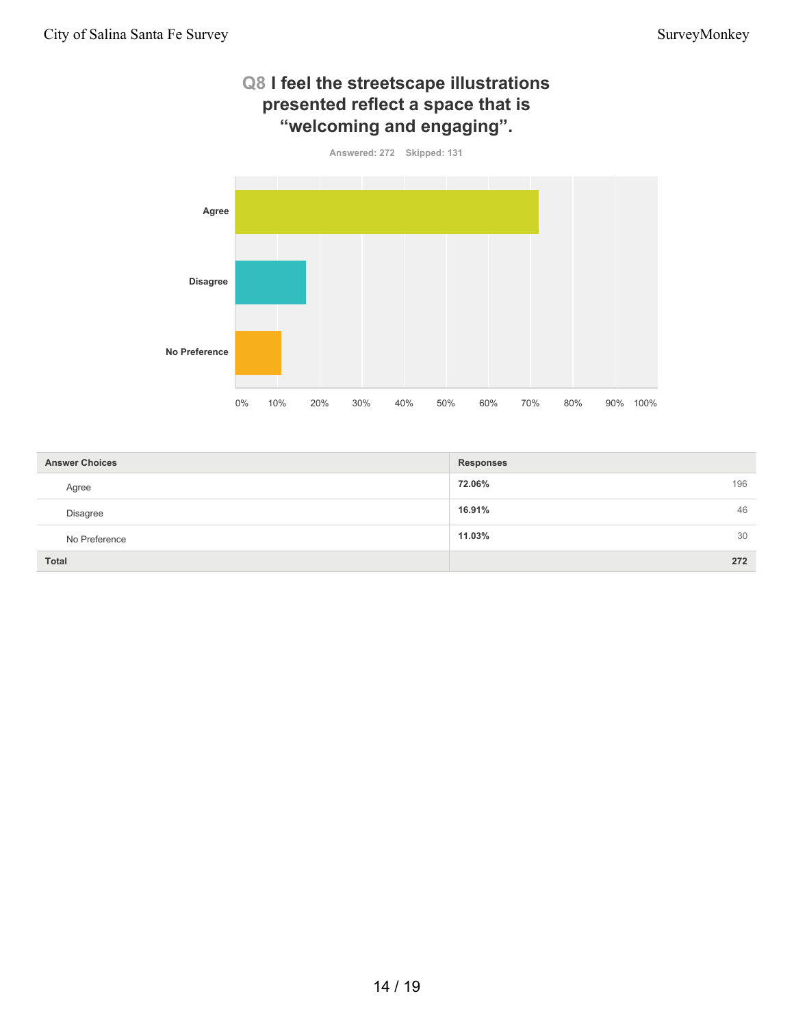

| <b>Answer Choices</b> | <b>Responses</b> |
|-----------------------|------------------|
| Agree                 | 72.06%<br>196    |
| Disagree              | 16.91%<br>46     |
| No Preference         | 30<br>11.03%     |
| <b>Total</b>          | 272              |

### 14 / 19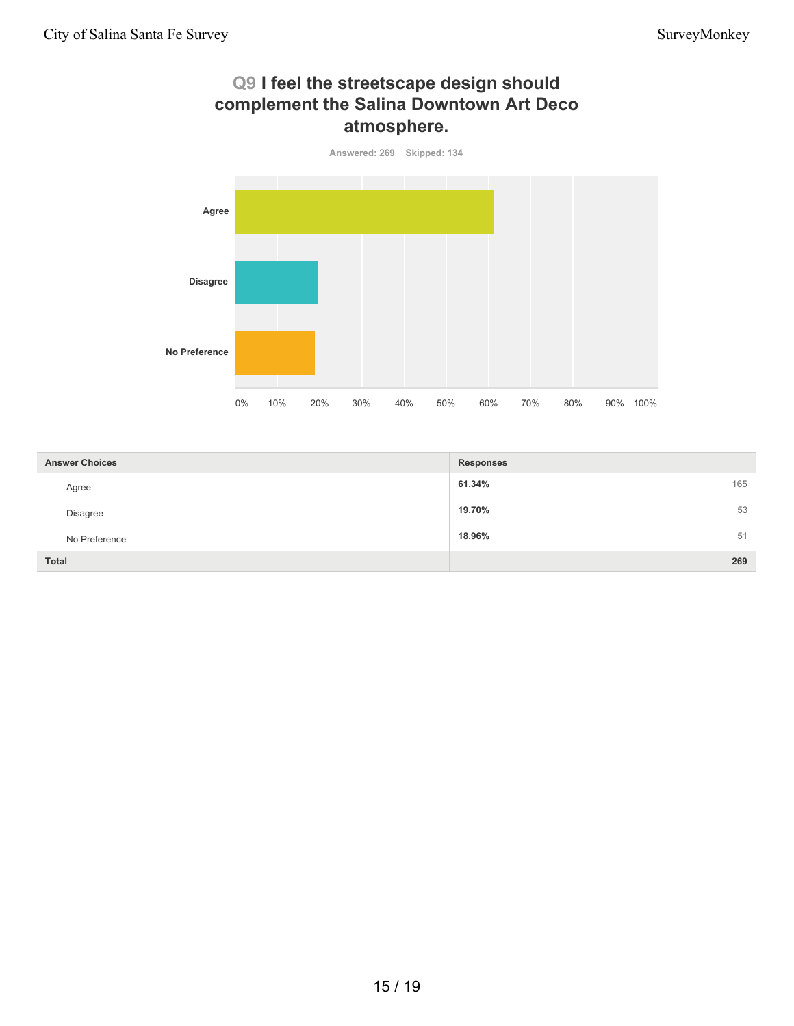# **Q9 I feel the streetscape design should complement the Salina Downtown Art Deco atmosphere.**



| <b>Answer Choices</b> | <b>Responses</b> |
|-----------------------|------------------|
| Agree                 | 61.34%<br>165    |
| Disagree              | 19.70%<br>53     |
| No Preference         | 18.96%<br>51     |
| <b>Total</b>          | 269              |

### 15 / 19